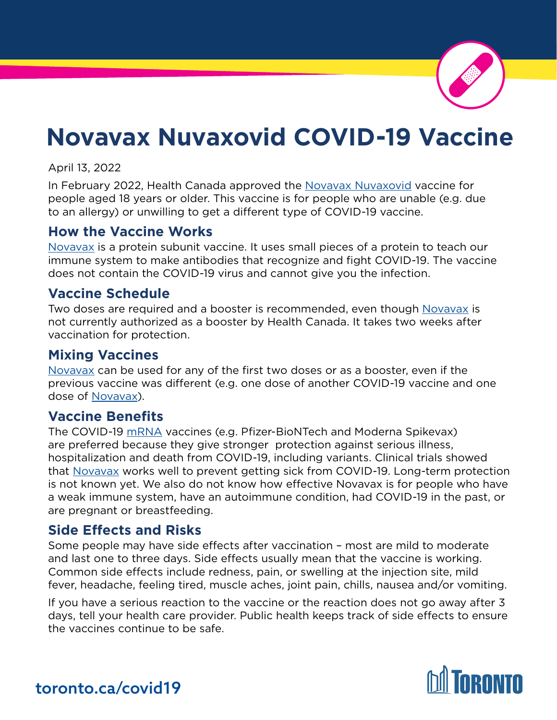

# **Novavax Nuvaxovid COVID-19 Vaccine**

April 13, 2022

In February 2022, Health Canada approved the [Novavax Nuvaxovid](https://www.canada.ca/en/health-canada/services/drugs-health-products/covid19-industry/drugs-vaccines-treatments/vaccines/novavax.html#a1) vaccine for people aged 18 years or older. This vaccine is for people who are unable (e.g. due to an allergy) or unwilling to get a different type of COVID-19 vaccine.

### **How the Vaccine Works**

[Novavax](https://www.canada.ca/en/health-canada/services/drugs-health-products/covid19-industry/drugs-vaccines-treatments/vaccines/novavax.html#a1) is a protein subunit vaccine. It uses small pieces of a protein to teach our immune system to make antibodies that recognize and fight COVID-19. The vaccine does not contain the COVID-19 virus and cannot give you the infection.

### **Vaccine Schedule**

Two doses are required and a booster is recommended, even though [Novavax](https://www.canada.ca/en/health-canada/services/drugs-health-products/covid19-industry/drugs-vaccines-treatments/vaccines/novavax.html#a1) is not currently authorized as a booster by Health Canada. It takes two weeks after vaccination for protection.

### **Mixing Vaccines**

[Novavax](https://www.canada.ca/en/health-canada/services/drugs-health-products/covid19-industry/drugs-vaccines-treatments/vaccines/novavax.html#a1) can be used for any of the first two doses or as a booster, even if the previous vaccine was different (e.g. one dose of another COVID-19 vaccine and one dose of [Novavax](https://www.canada.ca/en/health-canada/services/drugs-health-products/covid19-industry/drugs-vaccines-treatments/vaccines/novavax.html#a1)).

### **Vaccine Benefits**

The COVID-19 [mRNA](https://www.toronto.ca/home/covid-19/covid-19-vaccines/covid-19-vaccine-eligibility-doses/?accordion=booster-doses) vaccines (e.g. Pfizer-BioNTech and Moderna Spikevax) are preferred because they give stronger protection against serious illness, hospitalization and death from COVID-19, including variants. Clinical trials showed that [Novavax](https://www.canada.ca/en/health-canada/services/drugs-health-products/covid19-industry/drugs-vaccines-treatments/vaccines/novavax.html#a1) works well to prevent getting sick from COVID-19. Long-term protection is not known yet. We also do not know how effective Novavax is for people who have a weak immune system, have an autoimmune condition, had COVID-19 in the past, or are pregnant or breastfeeding.

### **Side Effects and Risks**

Some people may have side effects after vaccination – most are mild to moderate and last one to three days. Side effects usually mean that the vaccine is working. Common side effects include redness, pain, or swelling at the injection site, mild fever, headache, feeling tired, muscle aches, joint pain, chills, nausea and/or vomiting.

If you have a serious reaction to the vaccine or the reaction does not go away after 3 days, tell your health care provider. Public health keeps track of side effects to ensure the vaccines continue to be safe.



### toronto.ca/covid19